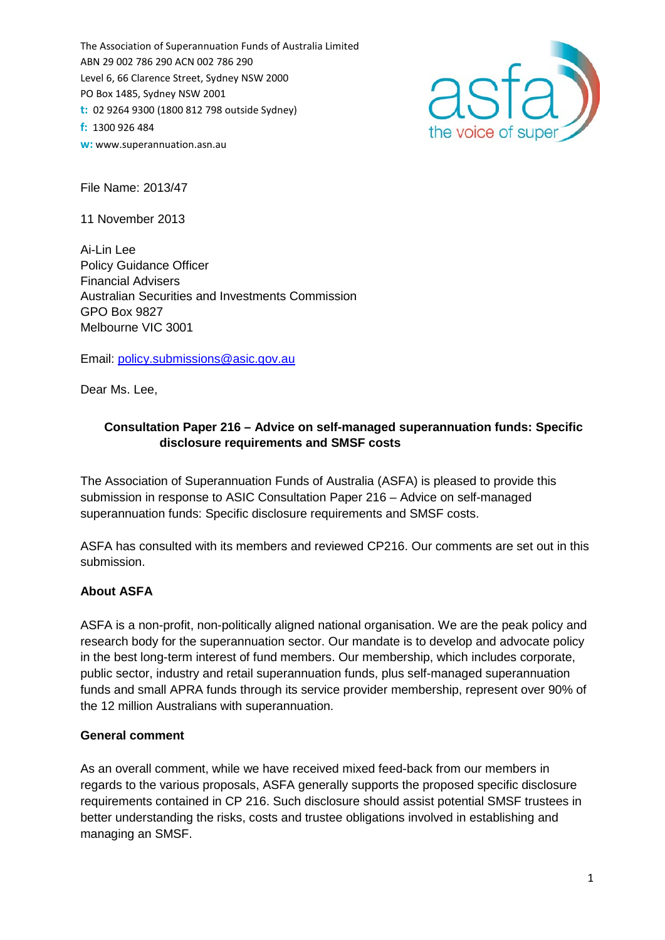The Association of Superannuation Funds of Australia Limited ABN 29 002 786 290 ACN 002 786 290 Level 6, 66 Clarence Street, Sydney NSW 2000 PO Box 1485, Sydney NSW 2001 **t:** 02 9264 9300 (1800 812 798 outside Sydney) **f:** 1300 926 484 **w:** [www.superannuation.asn.au](http://www.superannuation.asn.au/)



File Name: 2013/47

11 November 2013

Ai-Lin Lee Policy Guidance Officer Financial Advisers Australian Securities and Investments Commission GPO Box 9827 Melbourne VIC 3001

Email: [policy.submissions@asic.gov.au](mailto:policy.submissions@asic.gov.au)

Dear Ms. Lee,

## **Consultation Paper 216 – Advice on self-managed superannuation funds: Specific disclosure requirements and SMSF costs**

The Association of Superannuation Funds of Australia (ASFA) is pleased to provide this submission in response to ASIC Consultation Paper 216 – Advice on self-managed superannuation funds: Specific disclosure requirements and SMSF costs.

ASFA has consulted with its members and reviewed CP216. Our comments are set out in this submission.

## **About ASFA**

ASFA is a non-profit, non-politically aligned national organisation. We are the peak policy and research body for the superannuation sector. Our mandate is to develop and advocate policy in the best long-term interest of fund members. Our membership, which includes corporate, public sector, industry and retail superannuation funds, plus self-managed superannuation funds and small APRA funds through its service provider membership, represent over 90% of the 12 million Australians with superannuation.

## **General comment**

As an overall comment, while we have received mixed feed-back from our members in regards to the various proposals, ASFA generally supports the proposed specific disclosure requirements contained in CP 216. Such disclosure should assist potential SMSF trustees in better understanding the risks, costs and trustee obligations involved in establishing and managing an SMSF.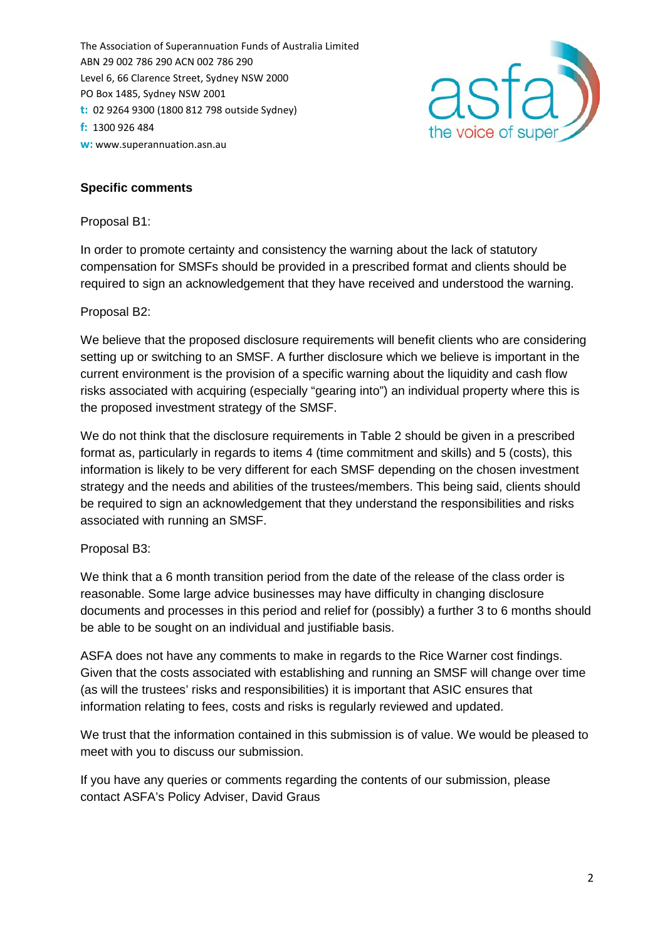The Association of Superannuation Funds of Australia Limited ABN 29 002 786 290 ACN 002 786 290 Level 6, 66 Clarence Street, Sydney NSW 2000 PO Box 1485, Sydney NSW 2001 **t:** 02 9264 9300 (1800 812 798 outside Sydney) **f:** 1300 926 484 **w:** [www.superannuation.asn.au](http://www.superannuation.asn.au/)



# **Specific comments**

Proposal B1:

In order to promote certainty and consistency the warning about the lack of statutory compensation for SMSFs should be provided in a prescribed format and clients should be required to sign an acknowledgement that they have received and understood the warning.

#### Proposal B2:

We believe that the proposed disclosure requirements will benefit clients who are considering setting up or switching to an SMSF. A further disclosure which we believe is important in the current environment is the provision of a specific warning about the liquidity and cash flow risks associated with acquiring (especially "gearing into") an individual property where this is the proposed investment strategy of the SMSF.

We do not think that the disclosure requirements in Table 2 should be given in a prescribed format as, particularly in regards to items 4 (time commitment and skills) and 5 (costs), this information is likely to be very different for each SMSF depending on the chosen investment strategy and the needs and abilities of the trustees/members. This being said, clients should be required to sign an acknowledgement that they understand the responsibilities and risks associated with running an SMSF.

## Proposal B3:

We think that a 6 month transition period from the date of the release of the class order is reasonable. Some large advice businesses may have difficulty in changing disclosure documents and processes in this period and relief for (possibly) a further 3 to 6 months should be able to be sought on an individual and justifiable basis.

ASFA does not have any comments to make in regards to the Rice Warner cost findings. Given that the costs associated with establishing and running an SMSF will change over time (as will the trustees' risks and responsibilities) it is important that ASIC ensures that information relating to fees, costs and risks is regularly reviewed and updated.

We trust that the information contained in this submission is of value. We would be pleased to meet with you to discuss our submission.

If you have any queries or comments regarding the contents of our submission, please contact ASFA's Policy Adviser, David Graus